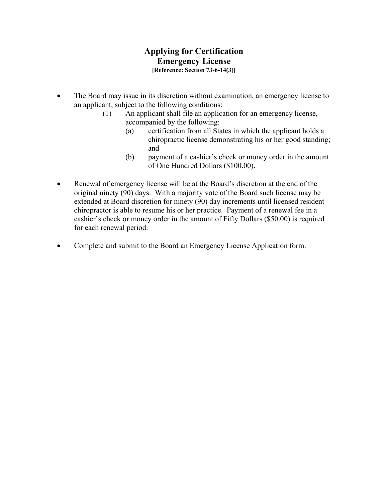## **Applying for Certification Emergency License [Reference: Section 73-6-14(3)]**

- The Board may issue in its discretion without examination, an emergency license to an applicant, subject to the following conditions:
	- (1) An applicant shall file an application for an emergency license, accompanied by the following:
		- (a) certification from all States in which the applicant holds a chiropractic license demonstrating his or her good standing; and
		- (b) payment of a cashier's check or money order in the amount of One Hundred Dollars (\$100.00).
- Renewal of emergency license will be at the Board's discretion at the end of the original ninety (90) days. With a majority vote of the Board such license may be extended at Board discretion for ninety (90) day increments until licensed resident chiropractor is able to resume his or her practice. Payment of a renewal fee in a cashier's check or money order in the amount of Fifty Dollars (\$50.00) is required for each renewal period.
- Complete and submit to the Board an Emergency License Application form.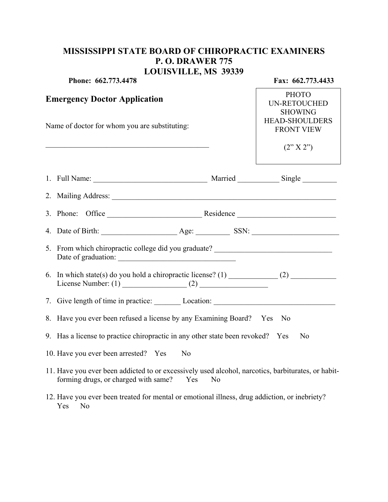## **MISSISSIPPI STATE BOARD OF CHIROPRACTIC EXAMINERS P. O. DRAWER 775 LOUISVILLE, MS 39339**

| Phone: 662.773.4478                                    |                                                                                                                                                                                                                                | Fax: 662.773.4433 |                                                       |  |
|--------------------------------------------------------|--------------------------------------------------------------------------------------------------------------------------------------------------------------------------------------------------------------------------------|-------------------|-------------------------------------------------------|--|
| <b>Emergency Doctor Application</b>                    |                                                                                                                                                                                                                                |                   | <b>PHOTO</b><br><b>UN-RETOUCHED</b><br><b>SHOWING</b> |  |
| Name of doctor for whom you are substituting:          |                                                                                                                                                                                                                                |                   | <b>HEAD-SHOULDERS</b><br><b>FRONT VIEW</b>            |  |
|                                                        |                                                                                                                                                                                                                                |                   | (2"X2")                                               |  |
|                                                        |                                                                                                                                                                                                                                |                   |                                                       |  |
|                                                        |                                                                                                                                                                                                                                |                   |                                                       |  |
|                                                        | 3. Phone: Office Residence Residence                                                                                                                                                                                           |                   |                                                       |  |
|                                                        |                                                                                                                                                                                                                                |                   |                                                       |  |
|                                                        | 5. From which chiropractic college did you graduate? ___________________________                                                                                                                                               |                   |                                                       |  |
|                                                        | 6. In which state(s) do you hold a chiropractic license? (1) $\qquad \qquad$ (2)<br>License Number: $(1)$ (2)                                                                                                                  |                   |                                                       |  |
|                                                        | 7. Give length of time in practice: Location: Location: Location: Location: Location: Location: Location: Location: Location: Location: Location: Location: Location: Location: Location: Location: Location: Location: Locati |                   |                                                       |  |
|                                                        | 8. Have you ever been refused a license by any Examining Board? Yes No                                                                                                                                                         |                   |                                                       |  |
|                                                        | 9. Has a license to practice chiropractic in any other state been revoked? Yes<br>N <sub>0</sub>                                                                                                                               |                   |                                                       |  |
| 10. Have you ever been arrested? Yes<br>N <sub>0</sub> |                                                                                                                                                                                                                                |                   |                                                       |  |
|                                                        | 11. Have you ever been addicted to or excessively used alcohol, narcotics, barbiturates, or habit-<br>forming drugs, or charged with same?<br>Yes<br>N <sub>0</sub>                                                            |                   |                                                       |  |
|                                                        | 12. Have you ever been treated for mental or emotional illness, drug addiction, or inebriety?<br>Yes No                                                                                                                        |                   |                                                       |  |